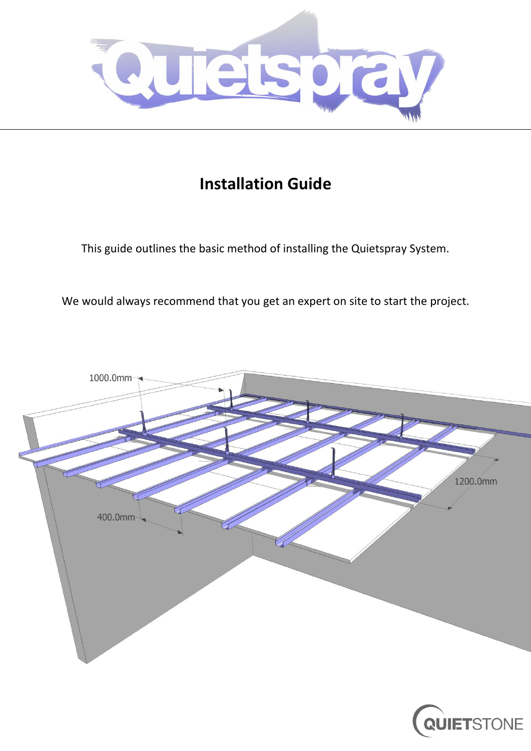

# **Installation Guide**

This guide outlines the basic method of installing the Quietspray System.

We would always recommend that you get an expert on site to start the project.

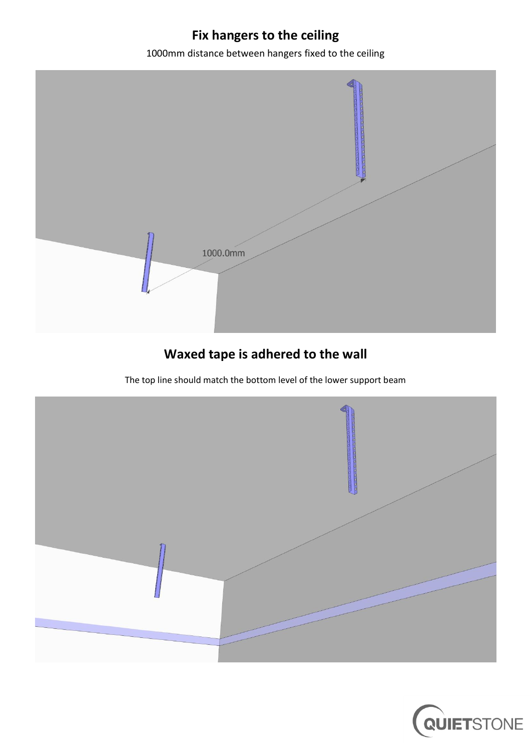# **Fix hangers to the ceiling**

1000mm distance between hangers fixed to the ceiling



# **Waxed tape is adhered to the wall**

The top line should match the bottom level of the lower support beam



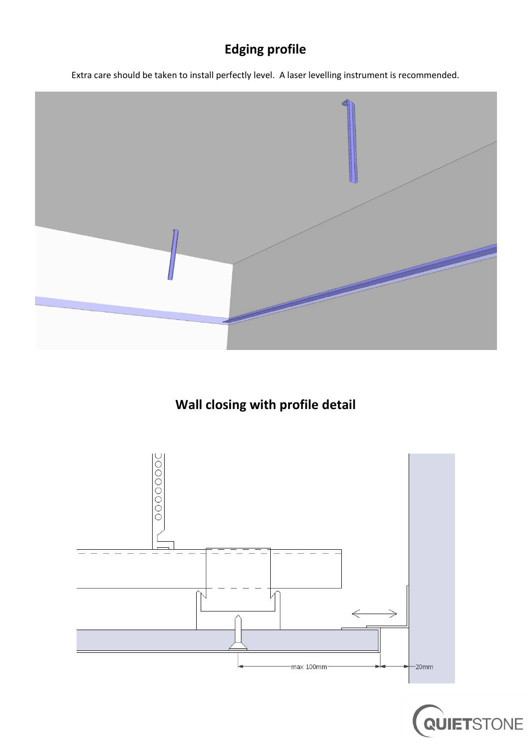# **Edging profile**

Extra care should be taken to install perfectly level. A laser levelling instrument is recommended.



### **Wall closing with profile detail**



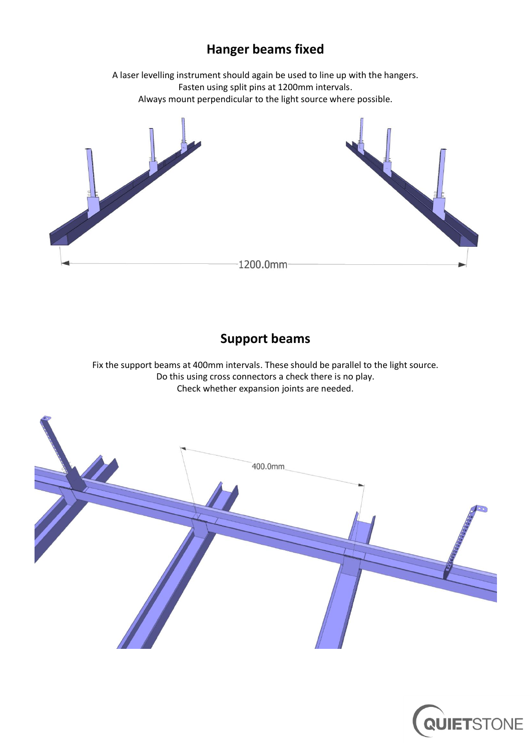#### **Hanger beams fixed**

A laser levelling instrument should again be used to line up with the hangers. Fasten using split pins at 1200mm intervals. Always mount perpendicular to the light source where possible.



#### **Support beams**

Fix the support beams at 400mm intervals. These should be parallel to the light source. Do this using cross connectors a check there is no play. Check whether expansion joints are needed.



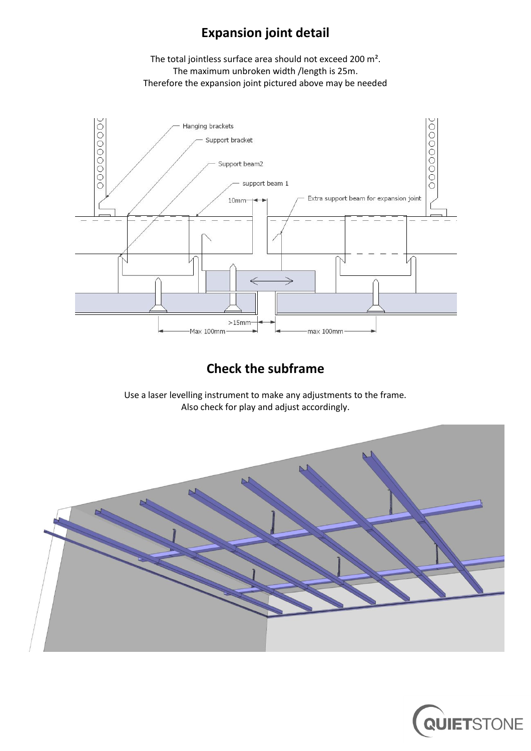#### **Expansion joint detail**

The total jointless surface area should not exceed 200 m². The maximum unbroken width /length is 25m. Therefore the expansion joint pictured above may be needed



#### **Check the subframe**

Use a laser levelling instrument to make any adjustments to the frame. Also check for play and adjust accordingly.



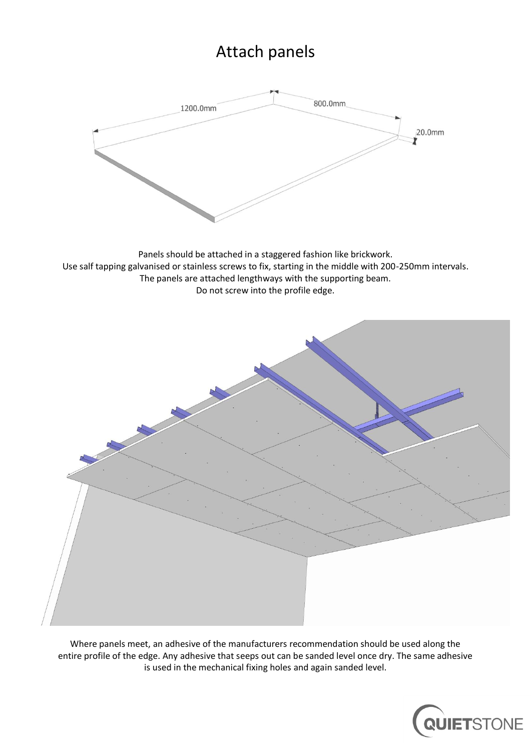# Attach panels



Panels should be attached in a staggered fashion like brickwork. Use salf tapping galvanised or stainless screws to fix, starting in the middle with 200-250mm intervals. The panels are attached lengthways with the supporting beam. Do not screw into the profile edge.



Where panels meet, an adhesive of the manufacturers recommendation should be used along the entire profile of the edge. Any adhesive that seeps out can be sanded level once dry. The same adhesive is used in the mechanical fixing holes and again sanded level.